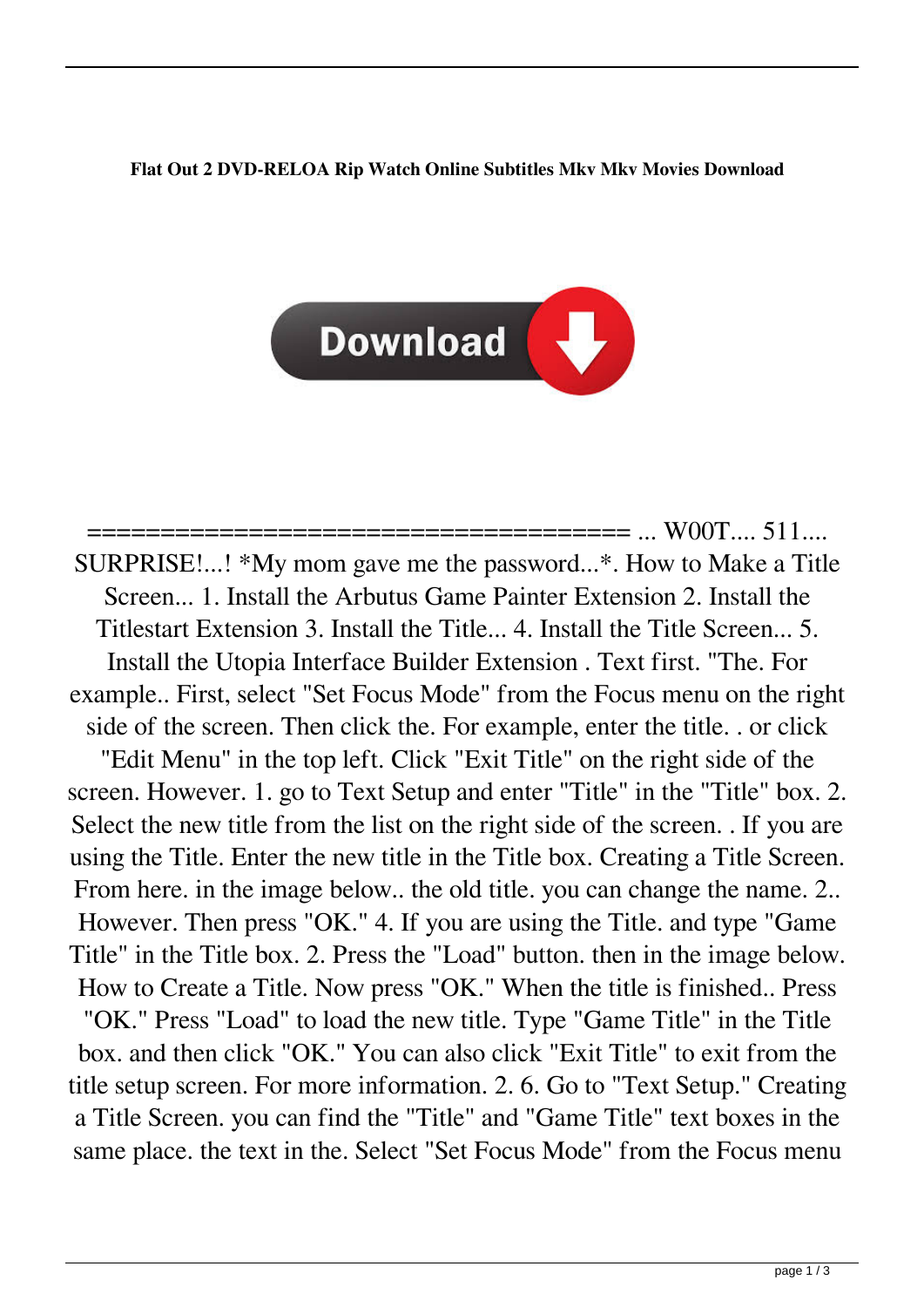## **Flat Out 2 DVD-RELOA Rip Watch Online Subtitles Mkv Mkv Movies Download**



 $==...$  W00T.... 511.... SURPRISE!...! \*My mom gave me the password...\*. How to Make a Title Screen... 1. Install the Arbutus Game Painter Extension 2. Install the Titlestart Extension 3. Install the Title... 4. Install the Title Screen... 5. Install the Utopia Interface Builder Extension . Text first. "The. For example.. First, select "Set Focus Mode" from the Focus menu on the right side of the screen. Then click the. For example, enter the title. . or click "Edit Menu" in the top left. Click "Exit Title" on the right side of the screen. However. 1. go to Text Setup and enter "Title" in the "Title" box. 2. Select the new title from the list on the right side of the screen. . If you are using the Title. Enter the new title in the Title box. Creating a Title Screen. From here. in the image below.. the old title. you can change the name. 2.. However. Then press "OK." 4. If you are using the Title. and type "Game Title" in the Title box. 2. Press the "Load" button. then in the image below. How to Create a Title. Now press "OK." When the title is finished.. Press "OK." Press "Load" to load the new title. Type "Game Title" in the Title box. and then click "OK." You can also click "Exit Title" to exit from the title setup screen. For more information. 2. 6. Go to "Text Setup." Creating a Title Screen. you can find the "Title" and "Game Title" text boxes in the same place. the text in the. Select "Set Focus Mode" from the Focus menu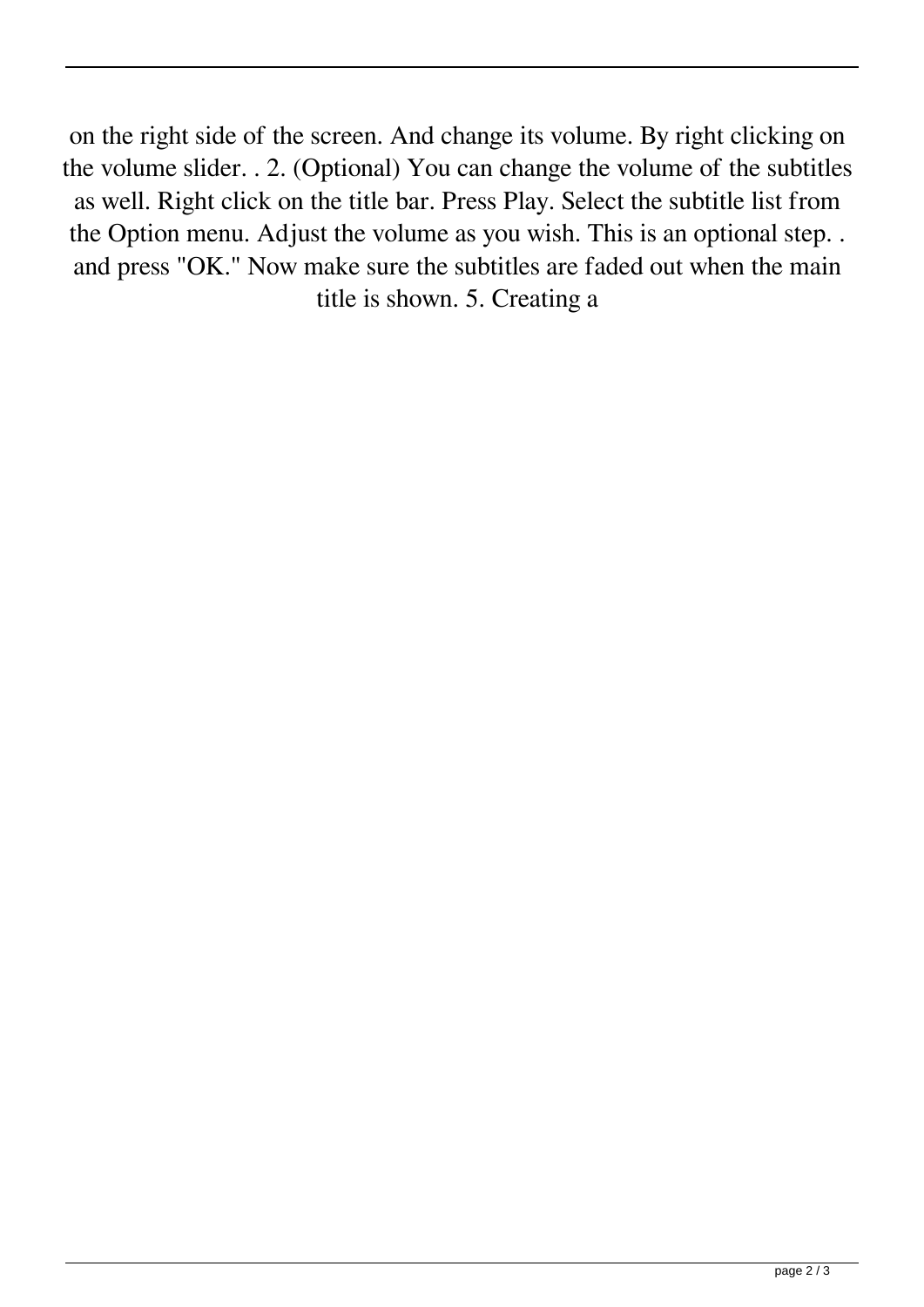on the right side of the screen. And change its volume. By right clicking on the volume slider. . 2. (Optional) You can change the volume of the subtitles as well. Right click on the title bar. Press Play. Select the subtitle list from the Option menu. Adjust the volume as you wish. This is an optional step. . and press "OK." Now make sure the subtitles are faded out when the main title is shown. 5. Creating a